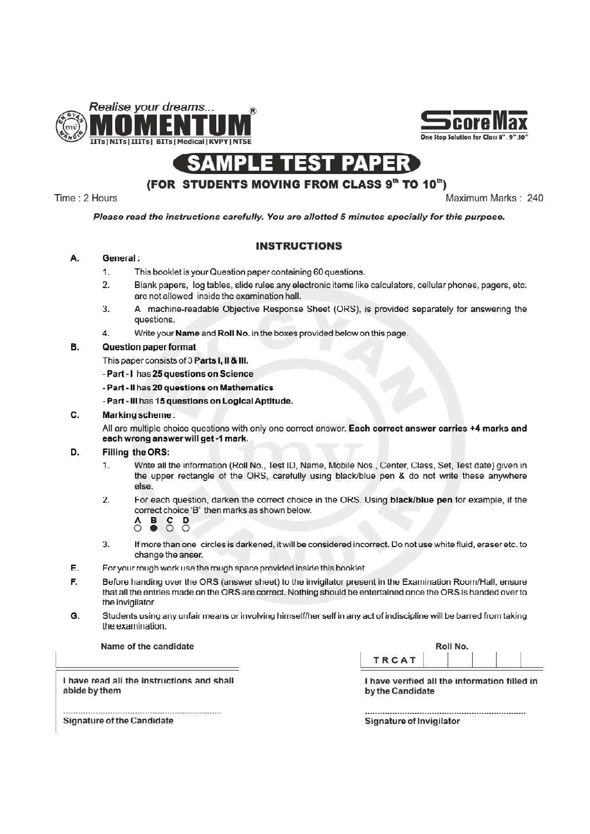



### AMPLE PAPER

## (FOR STUDENTS MOVING FROM CLASS 9" TO 10")

Time: 2 Hours

Maximum Marks: 240

Please read the instructions carefully. You are allotted 5 minutes specially for this purpose.

### **INSTRUCTIONS**

#### General: **A.**

- $1.$ This booklet is your Question paper containing 60 questions.
- Blank papers, log tables, slide rules any electronic items like calculators, cellular phones, pagers, etc.  $2.$ are not allowed inside the examination hall.
- A machine-readable Objective Response Sheet (ORS), is provided separately for answering the 3. questions.
- Write your Name and Roll No. in the boxes provided below on this page. 4

#### **B. Question paper format**

This paper consists of 3 Parts I, II & III.

Part - I has 25 questions on Science

- Part Il has 20 questions on Mathematics
- Part III has 15 questions on Logical Aptitude.

#### $\mathbf{C}$ . Marking scheme:

All are multiple choice questions with only one correct answer. Each correct answer carries +4 marks and each wrong answer will get -1 mark.

#### D. Filling the ORS:

- Write all the information (Roll No., Test ID, Name, Mobile Nos., Center, Class, Set, Test date) given in  $1.$ the upper rectangle of the ORS, carefully using black/blue pen & do not write these anywhere **AP**
- For each question, darken the correct choice in the ORS. Using black/blue pen for example, if the  $2.$ correct choice 'B' then marks as shown below.

# $B$   $S$   $D$

- 3. If more than one circles is darkened, it will be considered incorrect. Do not use white fluid, eraser etc. to change the anser.
- E. For your rough work use the rough space provided inside this booklet.
- F. Before handing over the ORS (answer sheet) to the invigilator present in the Examination Room/Hall, ensure that all the entries made on the ORS are correct. Nothing should be entertained once the ORS is handed over to the invigilator.
- G. Students using any unfair means or involving himself/her self in any act of indiscipline will be barred from taking the examination.

Name of the candidate

|              | Roll No. |  |
|--------------|----------|--|
| <b>TRCAT</b> |          |  |

I have read all the instructions and shall abide by them

I have verified all the information filled in by the Candidate

**Signature of Invigilator** 

**Signature of the Candidate**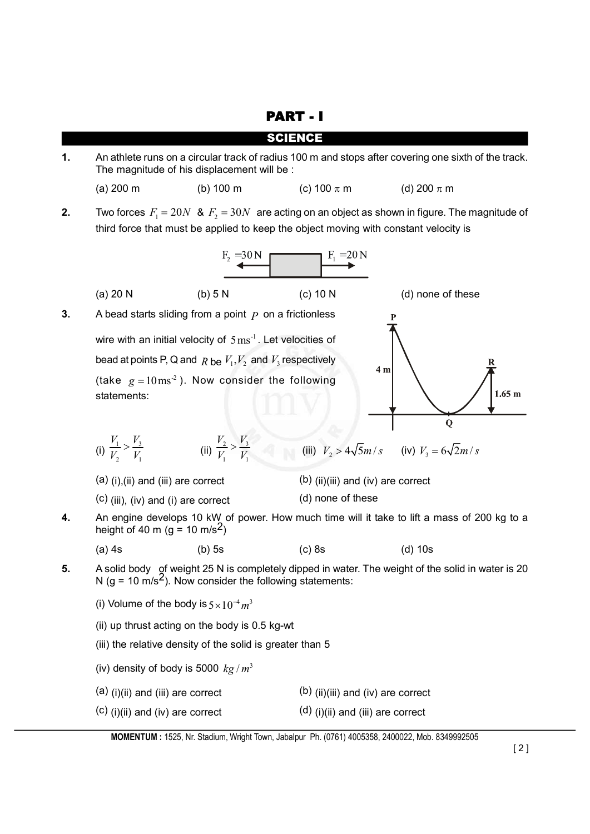PART - I

SCIENCE

**1.** An athlete runs on a circular track of radius 100 m and stops after covering one sixth of the track. The magnitude of his displacement will be :

(a) 200 m (b) 100 m (c) 100  $\pi$  m (d) 200  $\pi$  m

**2.** Two forces  $F_1 = 20N$  &  $F_2 = 30N$  are acting on an object as shown in figure. The magnitude of third force that must be applied to keep the object moving with constant velocity is

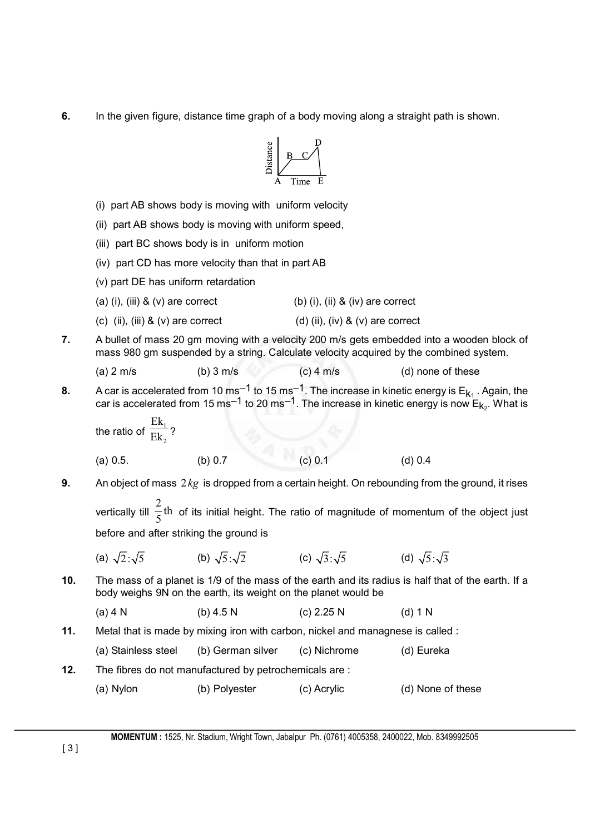**6.** In the given figure, distance time graph of a body moving along a straight path is shown.



- (i) part AB shows body is moving with uniform velocity
- (ii) part AB shows body is moving with uniform speed,
- (iii) part BC shows body is in uniform motion
- (iv) part CD has more velocity than that in part AB
- (v) part DE has uniform retardation
- (a) (i), (iii)  $\&$  (v) are correct (b) (i), (ii)  $\&$  (iv) are correct
- (c) (ii), (iii)  $\&$  (v) are correct (d) (ii), (iv)  $\&$  (v) are correct
- **7.** A bullet of mass 20 gm moving with a velocity 200 m/s gets embedded into a wooden block of mass 980 gm suspended by a string. Calculate velocity acquired by the combined system.

| (a) $2 \text{ m/s}$ | (b) $3 \text{ m/s}$ | (c) 4 m/s | (d) none of these |
|---------------------|---------------------|-----------|-------------------|
|                     |                     |           |                   |

**8.** A car is accelerated from 10 ms<sup>-1</sup> to 15 ms<sup>-1</sup>. The increase in kinetic energy is  $E_{k_1}$ . Again, the car is accelerated from 15 ms<sup>-1</sup> to 20 ms<sup>-1</sup>. The increase in kinetic energy is now  $E_{k_2}$ . What is

the ratio of 
$$
\frac{Ek_1}{Ek_2}
$$
?

(a) 0.5. (b) 0.7 (c) 0.1 (d) 0.4

**9.** An object of mass 2*kg* is dropped from a certain height. On rebounding from the ground, it rises vertically till  $\frac{2}{5}$ th

 $\frac{-}{5}$ th of its initial height. The ratio of magnitude of momentum of the object just before and after striking the ground is

|  | (a) $\sqrt{2}:\sqrt{5}$ | (b) $\sqrt{5}:\sqrt{2}$ | (c) $\sqrt{3}:\sqrt{5}$ | (d) $\sqrt{5}:\sqrt{3}$ |
|--|-------------------------|-------------------------|-------------------------|-------------------------|
|--|-------------------------|-------------------------|-------------------------|-------------------------|

**10.** The mass of a planet is 1/9 of the mass of the earth and its radius is half that of the earth. If a body weighs 9N on the earth, its weight on the planet would be

(a) 4 N (b) 4.5 N (c) 2.25 N (d) 1 N

**11.** Metal that is made by mixing iron with carbon, nickel and managnese is called :

| (a) Stainless steel | (b) German silver | (c) Nichrome | (d) Eureka |
|---------------------|-------------------|--------------|------------|
|---------------------|-------------------|--------------|------------|

- **12.** The fibres do not manufactured by petrochemicals are :
	- (a) Nylon (b) Polyester (c) Acrylic (d) None of these

**MOMENTUM :** 1525, Nr. Stadium, Wright Town, Jabalpur Ph. (0761) 4005358, 2400022, Mob. 8349992505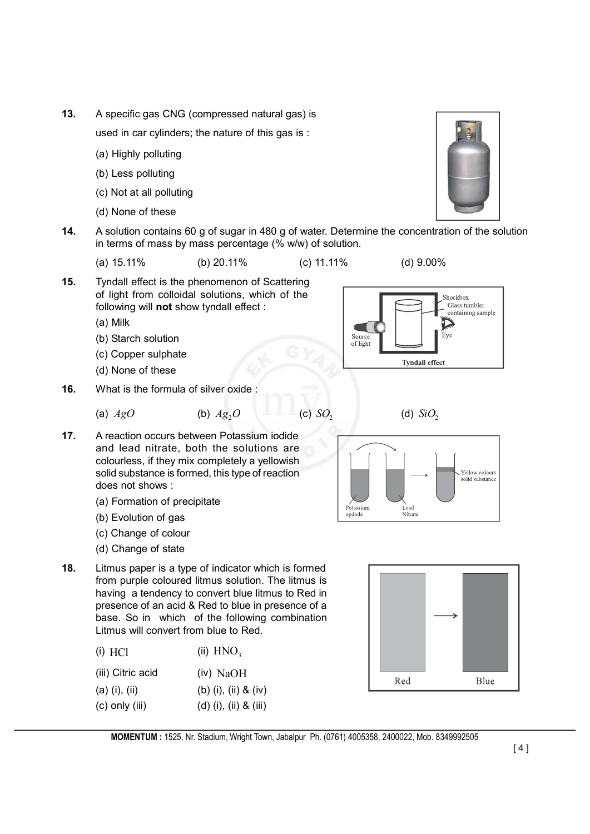**13.** A specific gas CNG (compressed natural gas) is

used in car cylinders; the nature of this gas is :

- (a) Highly polluting
- (b) Less polluting
- (c) Not at all polluting
- (d) None of these
- **14.** A solution contains 60 g of sugar in 480 g of water. Determine the concentration of the solution in terms of mass by mass percentage (% w/w) of solution.

(a) 15.11% (b) 20.11% (c) 11.11% (d) 9.00%

**15.** Tyndall effect is the phenomenon of Scattering of light from colloidal solutions, which of the following will **not** show tyndall effect :

(a) Milk

- (b) Starch solution
- (c) Copper sulphate
- (d) None of these
- **16.** What is the formula of silver oxide :

(a) 
$$
AgO
$$
 (b)  $Ag_2O$  (c)  $SO_2$  (d)  $SiO_2$ 

- **17.** A reaction occurs between Potassium iodide and lead nitrate, both the solutions are colourless, if they mix completely a yellowish solid substance is formed, this type of reaction does not shows :
	- (a) Formation of precipitate
	- (b) Evolution of gas
	- (c) Change of colour
	- (d) Change of state
- **18.** Litmus paper is a type of indicator which is formed from purple coloured litmus solution. The litmus is having a tendency to convert blue litmus to Red in presence of an acid & Red to blue in presence of a base. So in which of the following combination Litmus will convert from blue to Red.

| $(i)$ HCl         | (ii) $HNO3$             |  |  |
|-------------------|-------------------------|--|--|
| (iii) Citric acid | $(iv)$ NaOH             |  |  |
| $(a)$ (i), (ii)   | (b) (i), (ii) $&$ (iv)  |  |  |
| (c) only (iii)    | $(d)$ (i), (ii) & (iii) |  |  |

Sourc

of light



**Tyndall effect** 





Shockbox Glass tumbler containing sample

Eve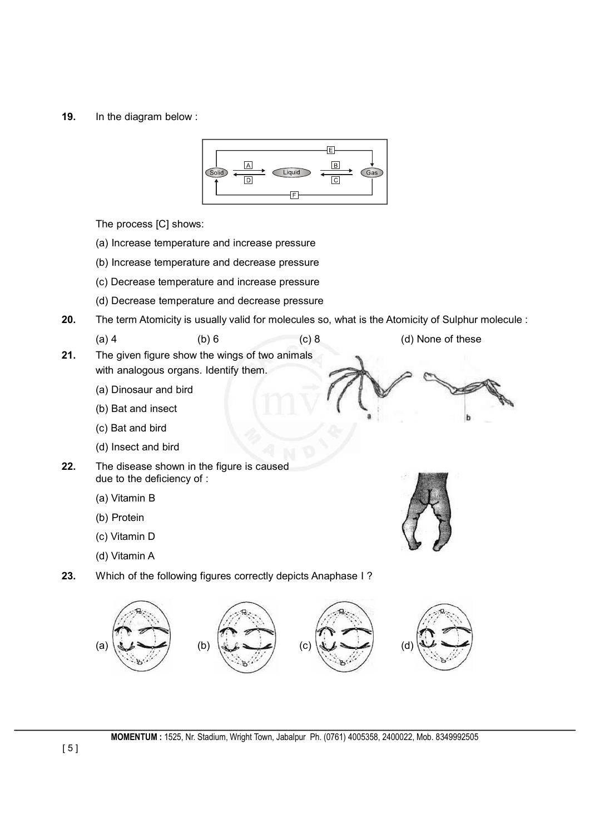**19.** In the diagram below :



The process [C] shows:

- (a) Increase temperature and increase pressure
- (b) Increase temperature and decrease pressure
- (c) Decrease temperature and increase pressure
- (d) Decrease temperature and decrease pressure
- **20.** The term Atomicity is usually valid for molecules so, what is the Atomicity of Sulphur molecule :

(a) 4 (b) 6 (c) 8 (d) None of these

- **21.** The given figure show the wings of two animals with analogous organs. Identify them.
	- (a) Dinosaur and bird
	- (b) Bat and insect
	- (c) Bat and bird
	- (d) Insect and bird
- **22.** The disease shown in the figure is caused due to the deficiency of :
	- (a) Vitamin B
	- (b) Protein
	- (c) Vitamin D
	- (d) Vitamin A
- **23.** Which of the following figures correctly depicts Anaphase I ?

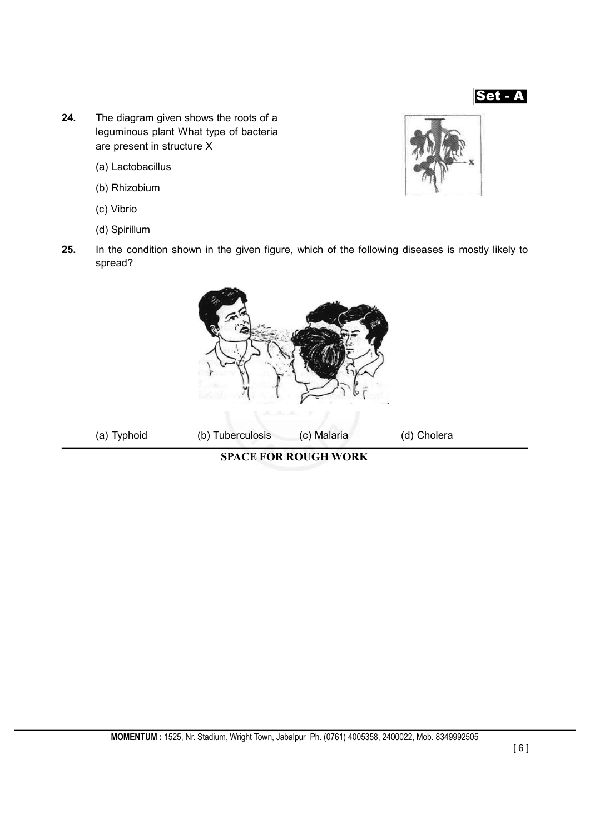

- **24.** The diagram given shows the roots of a leguminous plant What type of bacteria are present in structure X
	- (a) Lactobacillus
	- (b) Rhizobium
	- (c) Vibrio
	- (d) Spirillum



**25.** In the condition shown in the given figure, which of the following diseases is mostly likely to spread?

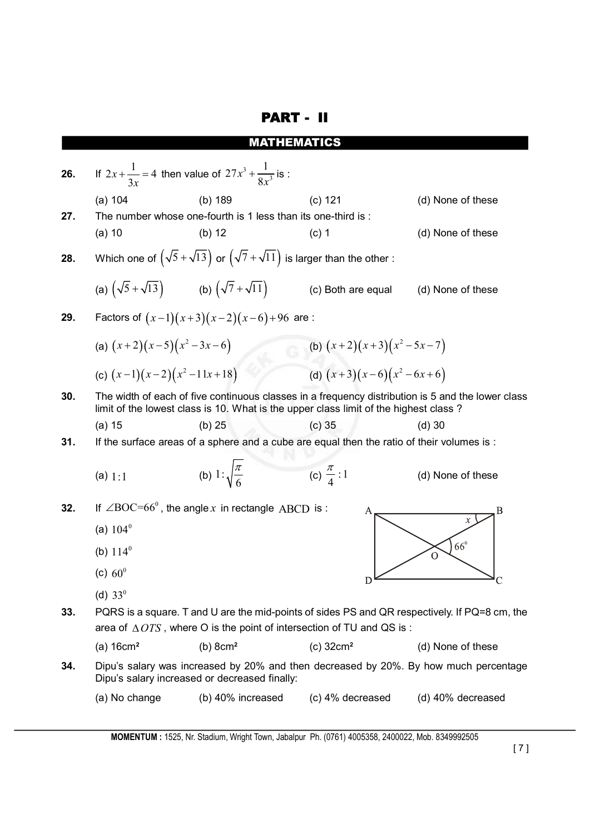## PART - II

### MATHEMATICS

 $+\frac{1}{2x}$  = 4 then value of  $27x^3 + \frac{1}{8x^3}$ **26.** If  $2x + \frac{1}{2} = 4$ *x*  $+\frac{1}{2}$  is : *x* 8 *x* 3 *x* (a) 104 (b) 189 (c) 121 (d) None of these **27.** The number whose one-fourth is 1 less than its one-third is : (a) 10 (b) 12 (c) 1 (d) None of these **28.** Which one of  $(\sqrt{5} + \sqrt{13})$  or  $(\sqrt{7} + \sqrt{11})$  is larger than the other : (a)  $(\sqrt{5} + \sqrt{13})$  (b)  $(\sqrt{7} + \sqrt{11})$  (c) Both are equal (d) None of these **29.** Factors of  $(x-1)(x+3)(x-2)(x-6)+96$  are : (a)  $(x+2)(x-5)(x^2-3x-6)$  (b)  $(x+2)(x+3)(x^2-5x-7)$ (c)  $(x-1)(x-2)(x^2-11x+18)$  (d)  $(x+3)(x-6)(x^2-6x+6)$ **30.** The width of each of five continuous classes in a frequency distribution is 5 and the lower class limit of the lowest class is 10. What is the upper class limit of the highest class ? (a) 15 (b) 25 (c) 35 (d) 30 **31.** If the surface areas of a sphere and a cube are equal then the ratio of their volumes is :  $\frac{\pi}{6}$  (c)  $\frac{\pi}{4}$  : 1  $\pi$ (a)  $1:1$  (b)  $1:\sqrt{\frac{n}{6}}$ (d) None of these **32.** If  $\angle BOC=66^\circ$ , the angle *x* in rectangle ABCD is : A B (a)  $104^{\circ}$  $66^{\circ}$ (b)  $114^{\circ}$ (c)  $60^{\circ}$  $\Gamma$  $\overline{C}$ (d)  $33^0$ **33.** PQRS is a square. T and U are the mid-points of sides PS and QR respectively. If PQ=8 cm, the area of  $\triangle OTS$ , where O is the point of intersection of TU and QS is : (a) 16cm**<sup>2</sup>** (b) 8cm**<sup>2</sup>** (c) 32cm**<sup>2</sup>** (d) None of these **34.** Dipu's salary was increased by 20% and then decreased by 20%. By how much percentage Dipu's salary increased or decreased finally: (a) No change (b) 40% increased (c) 4% decreased (d) 40% decreased

**MOMENTUM :** 1525, Nr. Stadium, Wright Town, Jabalpur Ph. (0761) 4005358, 2400022, Mob. 8349992505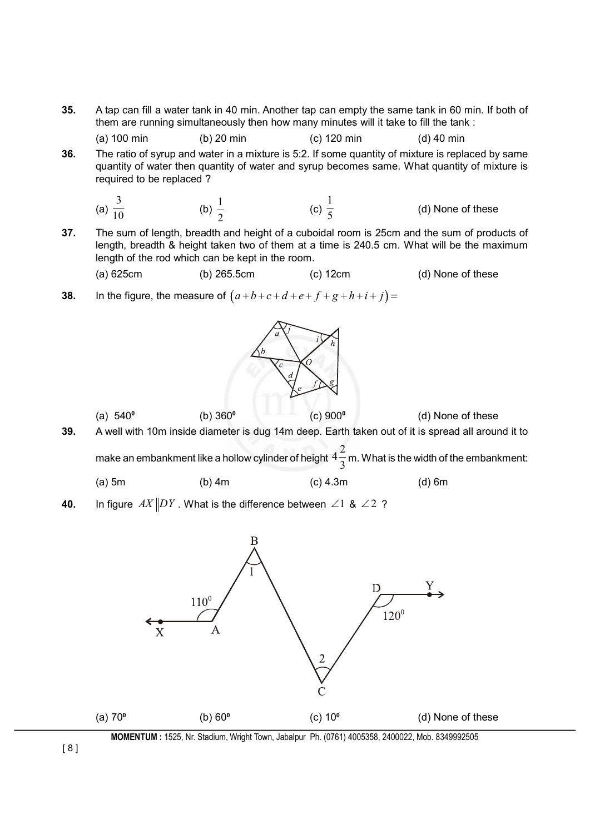**35.** A tap can fill a water tank in 40 min. Another tap can empty the same tank in 60 min. If both of them are running simultaneously then how many minutes will it take to fill the tank :

(a) 100 min (b) 20 min (c) 120 min (d) 40 min

**36.** The ratio of syrup and water in a mixture is 5:2. If some quantity of mixture is replaced by same quantity of water then quantity of water and syrup becomes same. What quantity of mixture is required to be replaced ?

(a) 
$$
\frac{3}{10}
$$
 (b)  $\frac{1}{2}$  (c)  $\frac{1}{5}$  (d) None of these

**37.** The sum of length, breadth and height of a cuboidal room is 25cm and the sum of products of length, breadth & height taken two of them at a time is 240.5 cm. What will be the maximum length of the rod which can be kept in the room.

(a) 
$$
625cm
$$
 (b)  $265.5cm$  (c)  $12cm$  (d) None of these

**38.** In the figure, the measure of  $(a+b+c+d+e+f+g+h+i+j) =$ 



(a) 540**<sup>0</sup>** (b) 360**<sup>0</sup>** (c) 900**<sup>0</sup>** (d) None of these **39.** A well with 10m inside diameter is dug 14m deep. Earth taken out of it is spread all around it to make an embankment like a hollow cylinder of height  $4\frac{2}{3}$  $\frac{1}{3}$  m. What is the width of the embankment: (a) 5m (b) 4m (c) 4.3m (d) 6m

**40.** In figure  $AX$  DY. What is the difference between  $\angle 1$  &  $\angle 2$  ?



**MOMENTUM :** 1525, Nr. Stadium, Wright Town, Jabalpur Ph. (0761) 4005358, 2400022, Mob. 8349992505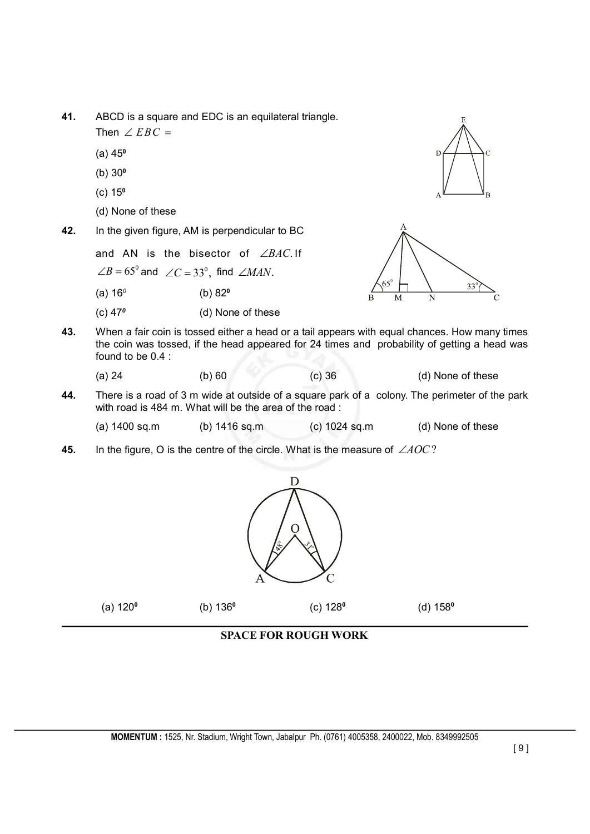- **41.** ABCD is a square and EDC is an equilateral triangle.
	- Then  $\angle$  *EBC* =
	- (a) 45**<sup>0</sup>**
	- (b) 30**<sup>0</sup>**
	- (c) 15**<sup>0</sup>**
	- (d) None of these
- **42.** In the given figure, AM is perpendicular to BC
	- and AN is the bisector of  $\angle BAC$ . If  $\angle B = 65^\circ$  and  $\angle C = 33^\circ$ , find  $\angle MAN$ .
	- (a) 16*<sup>0</sup>* (b) 82**<sup>0</sup>**
	- (c) 47*<sup>0</sup>* (d) None of these





- **43.** When a fair coin is tossed either a head or a tail appears with equal chances. How many times the coin was tossed, if the head appeared for 24 times and probability of getting a head was found to be 0.4 :
	- (a) 24 (b) 60 (c) 36 (d) None of these
- **44.** There is a road of 3 m wide at outside of a square park of a colony. The perimeter of the park with road is 484 m. What will be the area of the road :
	- (a)  $1400 \text{ sq.m}$  (b)  $1416 \text{ sq.m}$  (c)  $1024 \text{ sq.m}$  (d) None of these
- **45.** In the figure, O is the centre of the circle. What is the measure of  $\angle AOC$ ?



**SPACE FOR ROUGH WORK**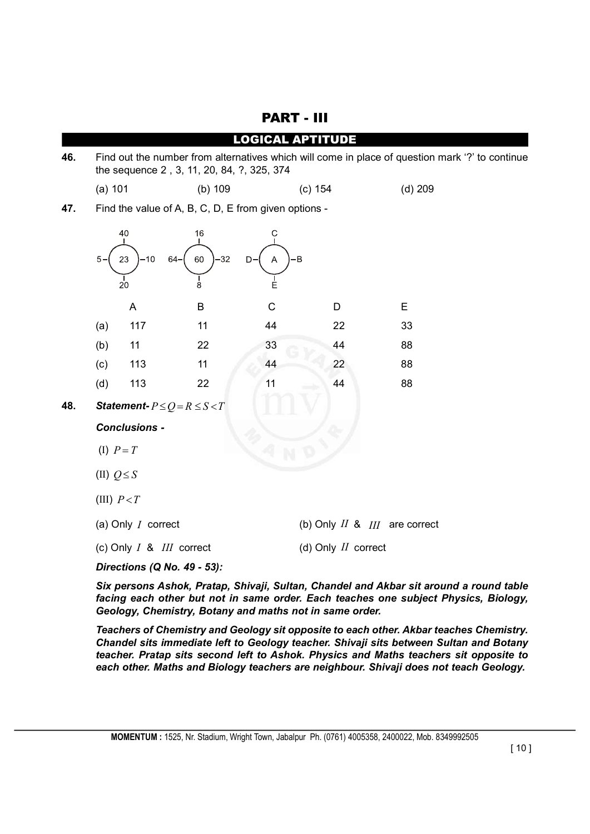|     |                                                                                                                                               |                         |                                                      | <b>LOGICAL APTITUDE</b> |                                   |           |  |
|-----|-----------------------------------------------------------------------------------------------------------------------------------------------|-------------------------|------------------------------------------------------|-------------------------|-----------------------------------|-----------|--|
| 46. | Find out the number from alternatives which will come in place of question mark '?' to continue<br>the sequence 2, 3, 11, 20, 84, ?, 325, 374 |                         |                                                      |                         |                                   |           |  |
|     | (a) 101                                                                                                                                       |                         | (b) 109                                              |                         | (c) 154                           | $(d)$ 209 |  |
| 47. |                                                                                                                                               |                         | Find the value of A, B, C, D, E from given options - |                         |                                   |           |  |
|     | 5.                                                                                                                                            | 40<br>$-10$<br>23<br>20 | 16<br>$-32$<br>60<br>64–<br>8                        | С<br>-B<br>A<br>D-<br>Ė |                                   |           |  |
|     |                                                                                                                                               | A                       | B                                                    | $\mathsf C$             | D                                 | E         |  |
|     | (a)                                                                                                                                           | 117                     | 11                                                   | 44                      | 22                                | 33        |  |
|     | (b)                                                                                                                                           | 11                      | 22                                                   | 33                      | 44                                | 88        |  |
|     | (c)                                                                                                                                           | 113                     | 11                                                   | 44                      | 22                                | 88        |  |
|     | (d)                                                                                                                                           | 113                     | 22                                                   | 11                      | 44                                | 88        |  |
| 48. | Statement- $P \le Q = R \le S < T$                                                                                                            |                         |                                                      |                         |                                   |           |  |
|     | <b>Conclusions -</b>                                                                                                                          |                         |                                                      |                         |                                   |           |  |
|     | (I) $P = T$                                                                                                                                   |                         |                                                      |                         |                                   |           |  |
|     | (II) $Q \leq S$                                                                                                                               |                         |                                                      |                         |                                   |           |  |
|     | (III) $P < T$                                                                                                                                 |                         |                                                      |                         |                                   |           |  |
|     |                                                                                                                                               | (a) Only $I$ correct    |                                                      |                         | (b) Only $II$ & $III$ are correct |           |  |
|     |                                                                                                                                               |                         | (c) Only I & III correct                             |                         | (d) Only $II$ correct             |           |  |
|     | Directions (Q No. 49 - 53):                                                                                                                   |                         |                                                      |                         |                                   |           |  |

PART - III

*Six persons Ashok, Pratap, Shivaji, Sultan, Chandel and Akbar sit around a round table facing each other but not in same order. Each teaches one subject Physics, Biology, Geology, Chemistry, Botany and maths not in same order.*

*Teachers of Chemistry and Geology sit opposite to each other. Akbar teaches Chemistry. Chandel sits immediate left to Geology teacher. Shivaji sits between Sultan and Botany teacher. Pratap sits second left to Ashok. Physics and Maths teachers sit opposite to each other. Maths and Biology teachers are neighbour. Shivaji does not teach Geology.*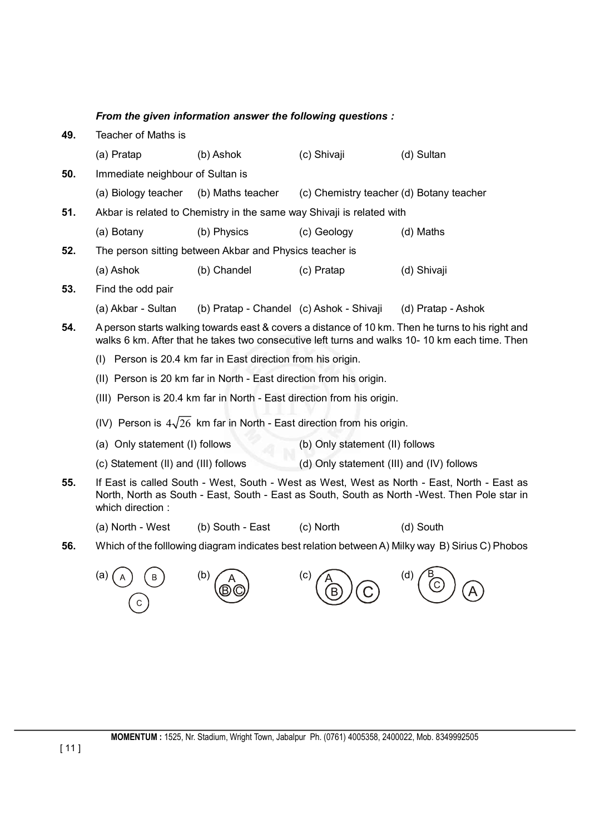### *From the given information answer the following questions :*

| 49. | Teacher of Maths is                                                                                                                                                                                             |                                                                       |                                           |                                                                                                  |  |  |
|-----|-----------------------------------------------------------------------------------------------------------------------------------------------------------------------------------------------------------------|-----------------------------------------------------------------------|-------------------------------------------|--------------------------------------------------------------------------------------------------|--|--|
|     | (a) Pratap                                                                                                                                                                                                      | (b) Ashok                                                             | (c) Shivaji                               | (d) Sultan                                                                                       |  |  |
| 50. | Immediate neighbour of Sultan is                                                                                                                                                                                |                                                                       |                                           |                                                                                                  |  |  |
|     | (a) Biology teacher                                                                                                                                                                                             | (b) Maths teacher                                                     | (c) Chemistry teacher (d) Botany teacher  |                                                                                                  |  |  |
| 51. |                                                                                                                                                                                                                 | Akbar is related to Chemistry in the same way Shivaji is related with |                                           |                                                                                                  |  |  |
|     | (a) Botany                                                                                                                                                                                                      | (b) Physics                                                           | (c) Geology                               | (d) Maths                                                                                        |  |  |
| 52. |                                                                                                                                                                                                                 | The person sitting between Akbar and Physics teacher is               |                                           |                                                                                                  |  |  |
|     | (a) Ashok                                                                                                                                                                                                       | (b) Chandel                                                           | (c) Pratap                                | (d) Shivaji                                                                                      |  |  |
| 53. | Find the odd pair                                                                                                                                                                                               |                                                                       |                                           |                                                                                                  |  |  |
|     | (a) Akbar - Sultan                                                                                                                                                                                              | (b) Pratap - Chandel (c) Ashok - Shivaji                              |                                           | (d) Pratap - Ashok                                                                               |  |  |
| 54. | A person starts walking towards east & covers a distance of 10 km. Then he turns to his right and<br>walks 6 km. After that he takes two consecutive left turns and walks 10-10 km each time. Then              |                                                                       |                                           |                                                                                                  |  |  |
|     | (I) Person is 20.4 km far in East direction from his origin.                                                                                                                                                    |                                                                       |                                           |                                                                                                  |  |  |
|     | (II) Person is 20 km far in North - East direction from his origin.                                                                                                                                             |                                                                       |                                           |                                                                                                  |  |  |
|     | (III) Person is 20.4 km far in North - East direction from his origin.                                                                                                                                          |                                                                       |                                           |                                                                                                  |  |  |
|     | (IV) Person is $4\sqrt{26}$ km far in North - East direction from his origin.                                                                                                                                   |                                                                       |                                           |                                                                                                  |  |  |
|     | (a) Only statement (I) follows                                                                                                                                                                                  |                                                                       | (b) Only statement (II) follows           |                                                                                                  |  |  |
|     | (c) Statement (II) and (III) follows                                                                                                                                                                            |                                                                       | (d) Only statement (III) and (IV) follows |                                                                                                  |  |  |
| 55. | If East is called South - West, South - West as West, West as North - East, North - East as<br>North, North as South - East, South - East as South, South as North -West. Then Pole star in<br>which direction: |                                                                       |                                           |                                                                                                  |  |  |
|     | (a) North - West                                                                                                                                                                                                | (b) South - East                                                      | (c) North                                 | (d) South                                                                                        |  |  |
| 56. |                                                                                                                                                                                                                 |                                                                       |                                           | Which of the folllowing diagram indicates best relation between A) Milky way B) Sirius C) Phobos |  |  |
|     | (a)<br>С                                                                                                                                                                                                        | (b)                                                                   | (c)                                       | (d)                                                                                              |  |  |